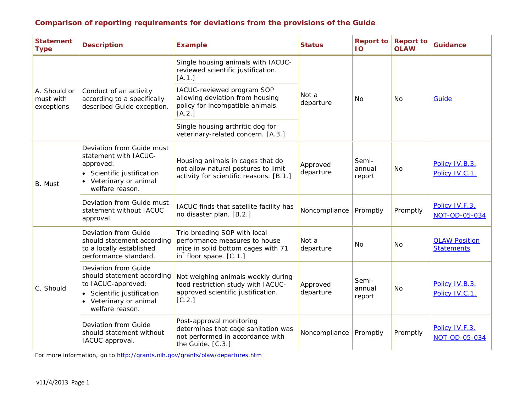## **Comparison of reporting requirements for deviations from the provisions of the** *Guide*

| <b>Statement</b><br><b>Type</b>         | <b>Description</b>                                                                                                                                                        | <b>Example</b>                                                                                                                               | <b>Status</b>         | <b>Report to</b><br>IO    | <b>Report to</b><br><b>OLAW</b> | <b>Guidance</b>                           |
|-----------------------------------------|---------------------------------------------------------------------------------------------------------------------------------------------------------------------------|----------------------------------------------------------------------------------------------------------------------------------------------|-----------------------|---------------------------|---------------------------------|-------------------------------------------|
| A. Should or<br>must with<br>exceptions | Conduct of an activity<br>according to a specifically<br>described Guide exception.                                                                                       | Single housing animals with IACUC-<br>reviewed scientific justification.<br>[A.1.]                                                           | Not a<br>departure    | No                        | No.                             | Guide                                     |
|                                         |                                                                                                                                                                           | IACUC-reviewed program SOP<br>allowing deviation from housing<br>policy for incompatible animals.<br>$[A.2.]$                                |                       |                           |                                 |                                           |
|                                         |                                                                                                                                                                           | Single housing arthritic dog for<br>veterinary-related concern. [A.3.]                                                                       |                       |                           |                                 |                                           |
| B. Must                                 | Deviation from Guide must<br>statement with IACUC-<br>approved:<br>• Scientific justification<br>• Veterinary or animal<br>welfare reason.                                | Housing animals in cages that do<br>not allow natural postures to limit<br>activity for scientific reasons. [B.1.]                           | Approved<br>departure | Semi-<br>annual<br>report | No.                             | Policy IV.B.3.<br>Policy IV.C.1.          |
|                                         | Deviation from Guide must<br>statement without IACUC<br>approval.                                                                                                         | IACUC finds that satellite facility has<br>no disaster plan. [B.2.]                                                                          | Noncompliance         | Promptly                  | Promptly                        | Policy IV.F.3.<br>NOT-OD-05-034           |
| C. Should                               | Deviation from Guide<br>should statement according<br>to a locally established<br>performance standard.                                                                   | Trio breeding SOP with local<br>performance measures to house<br>mice in solid bottom cages with 71<br>in <sup>2</sup> floor space. $[C.1.]$ | Not a<br>departure    | No                        | No.                             | <b>OLAW Position</b><br><b>Statements</b> |
|                                         | Deviation from Guide<br>should statement according<br>to IACUC-approved:<br>Scientific justification<br>$\bullet$<br>Veterinary or animal<br>$\bullet$<br>welfare reason. | Not weighing animals weekly during<br>food restriction study with IACUC-<br>approved scientific justification.<br>[C.2.]                     | Approved<br>departure | Semi-<br>annual<br>report | No                              | Policy IV.B.3.<br>Policy IV.C.1.          |
|                                         | Deviation from Guide<br>should statement without<br>IACUC approval.                                                                                                       | Post-approval monitoring<br>determines that cage sanitation was<br>not performed in accordance with<br>the Guide. [C.3.]                     | Noncompliance         | Promptly                  | Promptly                        | Policy IV.F.3.<br>NOT-OD-05-034           |

For more information, go to http://grants.nih.gov/grants/olaw/departures.htm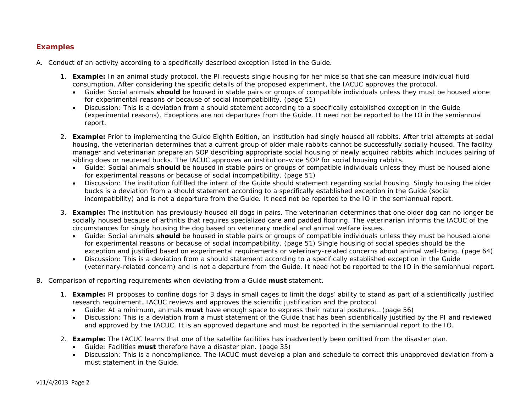## **Examples**

A. Conduct of an activity according to a specifically described exception listed in the *Guide*.

- 1. **Example:** In an animal study protocol, the PI requests single housing for her mice so that she can measure individual fluid consumption. After considering the specific details of the proposed experiment, the IACUC approves the protocol.
	- *Guide*: *Social animals should be housed in stable pairs or groups of compatible individuals unless they must be housed alone for experimental reasons or because of social incompatibility.* (page 51)
	- Discussion: This is a deviation from a should statement according to a specifically established exception in the *Guide*  (experimental reasons). Exceptions are not departures from the *Guide*. It need not be reported to the IO in the semiannual report.
- 2. **Example:** Prior to implementing the *Guide* Eighth Edition, an institution had singly housed all rabbits. After trial attempts at social housing, the veterinarian determines that a current group of older male rabbits cannot be successfully socially housed. The facility manager and veterinarian prepare an SOP describing appropriate social housing of newly acquired rabbits which includes pairing of sibling does or neutered bucks. The IACUC approves an institution-wide SOP for social housing rabbits.
	- *Guide*: *Social animals should be housed in stable pairs or groups of compatible individuals unless they must be housed alone for experimental reasons or because of social incompatibility.* (page 51)
	- Discussion: The institution fulfilled the intent of the *Guide* should statement regarding social housing. Singly housing the older bucks is a deviation from a should statement according to a specifically established exception in the *Guide* (social incompatibility) and is not a departure from the *Guide*. It need not be reported to the IO in the semiannual report.
- 3. **Example:** The institution has previously housed all dogs in pairs. The veterinarian determines that one older dog can no longer be socially housed because of arthritis that requires specialized care and padded flooring. The veterinarian informs the IACUC of the circumstances for singly housing the dog based on veterinary medical and animal welfare issues.
	- *Guide*: *Social animals should be housed in stable pairs or groups of compatible individuals unless they must be housed alone for experimental reasons or because of social incompatibility.* (page 51) *Single housing of social species should be the exception and justified based on experimental requirements or veterinary-related concerns about animal well-being*. (page 64)
	- Discussion: This is a deviation from a should statement according to a specifically established exception in the *Guide* (veterinary-related concern) and is not a departure from the *Guide*. It need not be reported to the IO in the semiannual report.
- B. Comparison of reporting requirements when deviating from a *Guide* **must** statement.
	- 1. **Example:** PI proposes to confine dogs for 3 days in small cages to limit the dogs' ability to stand as part of a scientifically justified research requirement. IACUC reviews and approves the scientific justification and the protocol.
		- *Guide*: *At a minimum, animals must have enough space to express their natural postures…* (page 56)
		- Discussion: This is a deviation from a must statement of the *Guide* that has been scientifically justified by the PI and reviewed and approved by the IACUC. It is an approved departure and must be reported in the semiannual report to the IO.
	- 2. **Example:** The IACUC learns that one of the satellite facilities has inadvertently been omitted from the disaster plan.
		- *Guide*: *Facilities must therefore have a disaster plan.* (page 35)
		- Discussion: This is a noncompliance. The IACUC must develop a plan and schedule to correct this unapproved deviation from a must statement in the *Guide*.